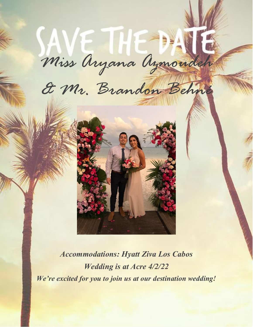# *Miss Aryana Azmoudeh*

*& Mr. Brandon Behné*



*Accommodations: Hyatt Ziva Los Cabos Wedding is at Acre 4/2/22 We're excited for you to join us at our destination wedding!*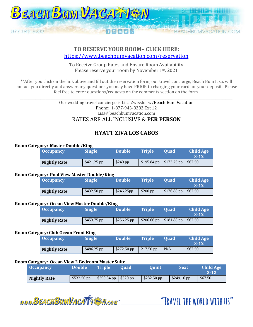

## **TO RESERVE YOUR ROOM– CLICK HERE:**  <https://www.beachbumvacation.com/reservation>

To Receive Group Rates and Ensure Room Availability Please reserve your room by November 1st, 2021

\*\*After you click on the link above and fill out the reservation form, our travel concierge, Beach Bum Lisa, will contact you directly and answer any questions you may have PRIOR to charging your card for your deposit. Please feel free to enter questions/requests on the comments section on the form.

\_\_\_\_\_\_\_\_\_\_\_\_\_\_\_\_\_\_\_\_\_\_\_\_\_\_\_\_\_\_\_\_\_\_\_\_\_\_\_\_\_\_\_\_\_\_\_\_\_\_\_\_\_\_\_\_\_\_\_\_\_\_\_\_\_\_\_\_\_\_\_\_\_\_\_\_\_\_\_\_\_\_\_\_\_\_\_\_\_\_\_\_\_\_\_\_\_\_\_\_\_\_\_\_\_\_\_\_\_\_\_\_\_\_\_\_\_\_\_\_\_\_\_\_\_\_

Our wedding travel concierge is Lisa Zwissler w/Beach Bum Vacation Phone: 1-877-943-8282 Ext 12 Lisa@beachbumvacation.com RATES ARE ALL INCLUSIVE & **PER PERSON**

# **HYATT ZIVA LOS CABOS**

#### **Room Category: Master Double/King**

| . | <b>Occupancy</b>    | <b>Single</b> | <b>Double</b> | <b>Triple</b> | <b>Ouad</b>                        | <b>Child Age</b><br>$3 - 12$ |
|---|---------------------|---------------|---------------|---------------|------------------------------------|------------------------------|
|   | <b>Nightly Rate</b> | $$421.25$ pp  | $$240$ pp     |               | $$195.84$ pp $$173.75$ pp $$67.50$ |                              |

#### **Room Category: Pool View Master Double/King**

|  | <b>Occupancy</b>    | <b>Single</b> | <b>Double</b> | <b>Triple</b> | <b>Ouad</b>            | <b>Child Age</b><br>$3 - 12$ |
|--|---------------------|---------------|---------------|---------------|------------------------|------------------------------|
|  | <b>Nightly Rate</b> | $$432.50$ pp  | \$246.25pp    | $$200$ pp     | $$176.88$ pp   \$67.50 |                              |

#### **Room Category: Ocean View Master Double/King**

|  | <b>Occupancy</b>    | <b>Single</b> | <b>Double</b> | <b>Triple</b>                      | <b>Ouad</b> | <b>Child Age</b><br>$3-12$ |
|--|---------------------|---------------|---------------|------------------------------------|-------------|----------------------------|
|  | <b>Nightly Rate</b> | $$453.75$ pp  | $$256.25$ pp  | $$206.66$ pp $$181.88$ pp $$67.50$ |             |                            |

#### **Room Category: Club Ocean Front King**

|  | <b>Occupancy</b>    | <b>Single</b> | <b>Double</b>        | <b>Triple</b>          | <b>Ouad</b> | <b>Child Age</b><br>3-12 |
|--|---------------------|---------------|----------------------|------------------------|-------------|--------------------------|
|  | <b>Nightly Rate</b> | $$486.25$ pp  | $$272.50 \text{ pp}$ | $\frac{1217.50}{ }$ pp | N/A         | \$67.50                  |

#### **Room Category: Ocean View 2 Bedroom Master Suite**

| <b>Occupancy</b>    | <b>Double</b> | <b>Triple</b>           | 'Ouad | <b>Ouint</b> | <b>Sext</b>  | Child Age<br>$3 - 12$ |
|---------------------|---------------|-------------------------|-------|--------------|--------------|-----------------------|
| <b>Nightly Rate</b> | \$532.50 pp   | $$390.84$ pp   \$320 pp |       | $$282.50$ pp | $$249.16$ pp | \$67.50               |

www.BEACHBUMVACATTEN.com

"TRAVEL THE WORLD WITH US"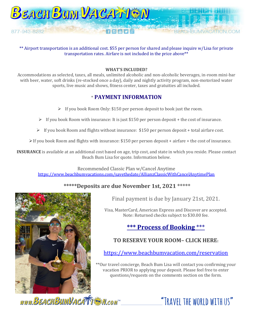

\*\* Airport transportation is an additional cost. \$55 per person for shared and please inquire w/Lisa for private transportation rates. Airfare is not included in the price above\*\*

#### **WHAT'S INCLUDED?**

Accommodations as selected, taxes, all meals, unlimited alcoholic and non-alcoholic beverages, in-room mini-bar with beer, water, soft drinks (re-stocked once a day), daily and nightly activity program, non-motorized water sports, live music and shows, fitness center, taxes and gratuities all included.

## \* **PAYMENT INFORMATION**

- ➢ If you book Room Only: \$150 per person deposit to book just the room.
- $\triangleright$  If you book Room with insurance: It is just \$150 per person deposit + the cost of insurance.
- $\triangleright$  If you book Room and flights without insurance: \$150 per person deposit + total airfare cost.

➢If you book Room and flights with insurance: \$150 per person deposit + airfare + the cost of insurance.

**INSURANCE** is available at an additional cost based on age, trip cost, and state in which you reside. Please contact Beach Bum Lisa for quote. Information below.

Recommended Classic Plan w/Cancel Anytime <https://www.beachbumvacations.com/savethedate/AllianzClassicWithCancelAnytimePlan>

## **\*\*\*\*\*Deposits are due November 1st, 2021 \*\*\*\*\***



Final payment is due by January 21st, 2021.

Visa, MasterCard, American Express and Discover are accepted. Note: Returned checks subject to \$30.00 fee.

# **\*\*\* Process of Booking** \*\*\*

# **TO RESERVE YOUR ROOM– CLICK HERE:**

<https://www.beachbumvacation.com/reservation>

\*\*Our travel concierge, Beach Bum Lisa will contact you confirming your vacation PRIOR to applying your deposit. Please feel free to enter questions/requests on the comments section on the form.

www.BEACHBUMVACATTEN.com